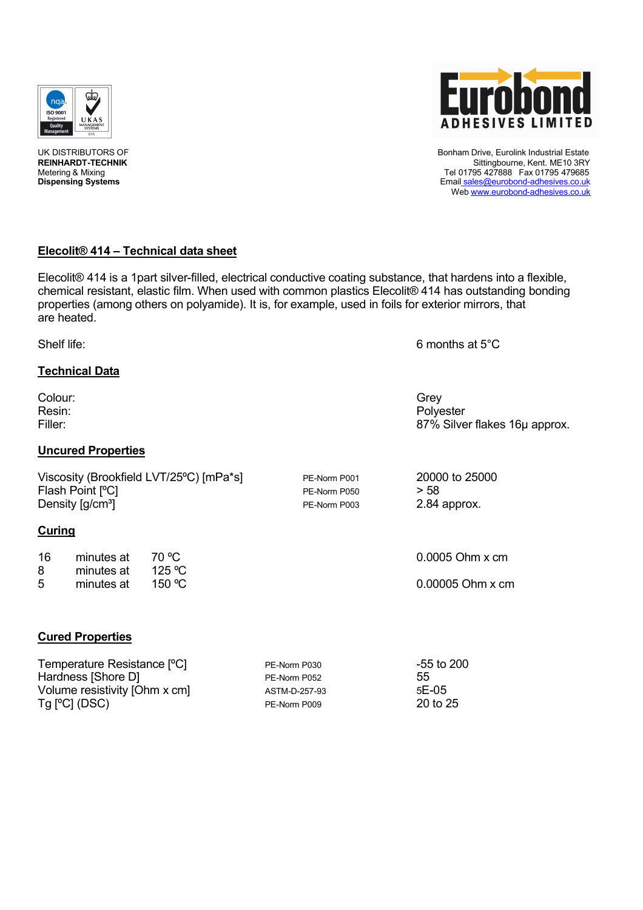



Elecolit® 414 is a 1part silver-filled, electrical conductive coating substance, that hardens into a flexible, chemical resistant, elastic film. When used with common plastics Elecolit® 414 has outstanding bonding properties (among others on polyamide). It is, for example, used in foils for exterior mirrors, that are heated.

Shelf life: 6 months at 5<sup>°</sup>C

# **Technical Data**

Colour: Grey Resin: The property of the contract of the contract of the property of the Polyester Filler: 87% Silver flakes 16µ approx.

# **Uncured Properties**

Viscosity (Brookfield LVT/25°C) [mPa\*s] PE-Norm P001 20000 to 25000 Flash Point  $[{}^{\circ}C]$ <br>
Density  $[g/cm^3]$ <br>
Density  $[g/cm^3]$ <br>
PE-Norm P003 2.84 approx. Density [g/cm<sup>3</sup>] PE-Norm P003

## **Curing**

| 16 | minutes at | 70 °C              |
|----|------------|--------------------|
| 8  | minutes at | 125 °C             |
| 5  | minutes at | 150 $\,^{\circ}$ C |

 $0.0005$  Ohm  $x$  cm

0.00005 Ohm x cm

## **Cured Properties**

| Temperature Resistance [°C]   | PE-Norm P030  | -55 to 200 |
|-------------------------------|---------------|------------|
| Hardness [Shore D]            | PE-Norm P052  | 55         |
| Volume resistivity [Ohm x cm] | ASTM-D-257-93 | $5E-05$    |
| $Tg$ $[°C]$ (DSC)             | PE-Norm P009  | 20 to 25   |



UK DISTRIBUTORS OF **EURO DE SAN AREA ENGLISHED ENGLISHED BON** Bonham Drive, Eurolink Industrial Estate<br>REINHARDT-TECHNIK **EURO DE SAN AREA ENGLISHED ENGLISHED ENGLISHED BONHARDT-TECHNIK** REI**NHARDT-TECHNIK** Sittingbourne, Kent. ME10 3RY<br>Metering & Mixing & Mixing Metering & Mixing Tel 01795 427888 Fax 01795 479685<br>
Dispensing Systems Tel 01795 427888 Fax 01795 479685<br>
Dispensing Systems **Dispensing Systems** Email sales@eurobond-adhesives.co.uk Web www.eurobond-adhesives.co.uk